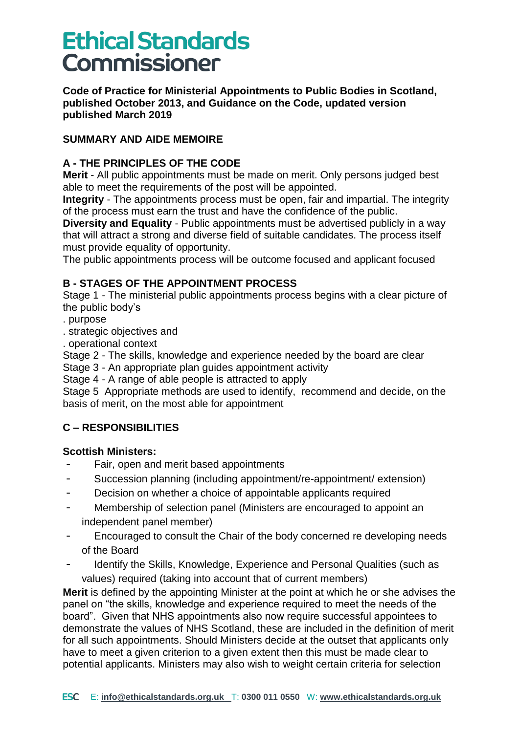**Code of Practice for Ministerial Appointments to Public Bodies in Scotland, published October 2013, and Guidance on the Code, updated version published March 2019** 

#### **SUMMARY AND AIDE MEMOIRE**

#### **A - THE PRINCIPLES OF THE CODE**

**Merit** - All public appointments must be made on merit. Only persons judged best able to meet the requirements of the post will be appointed.

**Integrity** - The appointments process must be open, fair and impartial. The integrity of the process must earn the trust and have the confidence of the public.

**Diversity and Equality** - Public appointments must be advertised publicly in a way that will attract a strong and diverse field of suitable candidates. The process itself must provide equality of opportunity.

The public appointments process will be outcome focused and applicant focused

#### **B - STAGES OF THE APPOINTMENT PROCESS**

Stage 1 - The ministerial public appointments process begins with a clear picture of the public body's

- . purpose
- . strategic objectives and
- . operational context

Stage 2 - The skills, knowledge and experience needed by the board are clear

Stage 3 - An appropriate plan guides appointment activity

Stage 4 - A range of able people is attracted to apply

Stage 5 Appropriate methods are used to identify, recommend and decide, on the basis of merit, on the most able for appointment

### **C – RESPONSIBILITIES**

#### **Scottish Ministers:**

- Fair, open and merit based appointments
- Succession planning (including appointment/re-appointment/ extension)
- Decision on whether a choice of appointable applicants required
- Membership of selection panel (Ministers are encouraged to appoint an independent panel member)
- Encouraged to consult the Chair of the body concerned re developing needs of the Board
- Identify the Skills, Knowledge, Experience and Personal Qualities (such as values) required (taking into account that of current members)

**Merit** is defined by the appointing Minister at the point at which he or she advises the panel on "the skills, knowledge and experience required to meet the needs of the board". Given that NHS appointments also now require successful appointees to demonstrate the values of NHS Scotland, these are included in the definition of merit for all such appointments. Should Ministers decide at the outset that applicants only have to meet a given criterion to a given extent then this must be made clear to potential applicants. Ministers may also wish to weight certain criteria for selection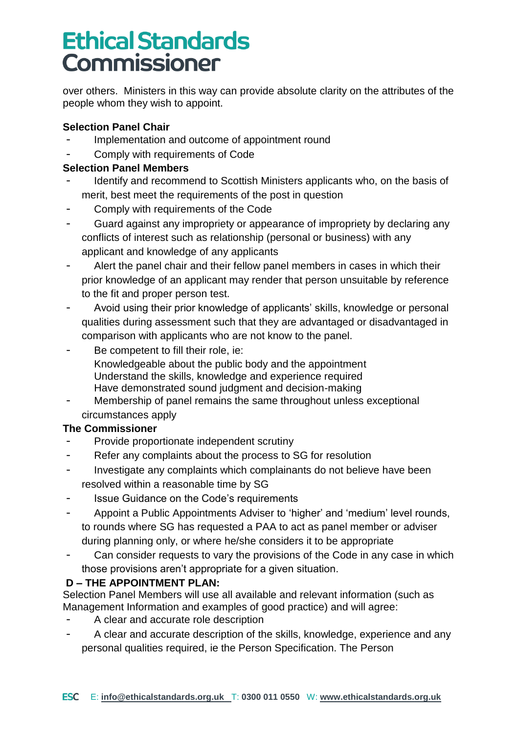over others. Ministers in this way can provide absolute clarity on the attributes of the people whom they wish to appoint.

#### **Selection Panel Chair**

- Implementation and outcome of appointment round
- Comply with requirements of Code

#### **Selection Panel Members**

- Identify and recommend to Scottish Ministers applicants who, on the basis of merit, best meet the requirements of the post in question
- Comply with requirements of the Code
- Guard against any impropriety or appearance of impropriety by declaring any conflicts of interest such as relationship (personal or business) with any applicant and knowledge of any applicants
- Alert the panel chair and their fellow panel members in cases in which their prior knowledge of an applicant may render that person unsuitable by reference to the fit and proper person test.
- Avoid using their prior knowledge of applicants' skills, knowledge or personal qualities during assessment such that they are advantaged or disadvantaged in comparison with applicants who are not know to the panel.
- Be competent to fill their role, ie: Knowledgeable about the public body and the appointment Understand the skills, knowledge and experience required Have demonstrated sound judgment and decision-making
- Membership of panel remains the same throughout unless exceptional circumstances apply

### **The Commissioner**

- Provide proportionate independent scrutiny
- Refer any complaints about the process to SG for resolution
- Investigate any complaints which complainants do not believe have been resolved within a reasonable time by SG
- Issue Guidance on the Code's requirements
- Appoint a Public Appointments Adviser to 'higher' and 'medium' level rounds, to rounds where SG has requested a PAA to act as panel member or adviser during planning only, or where he/she considers it to be appropriate
- Can consider requests to vary the provisions of the Code in any case in which those provisions aren't appropriate for a given situation.

### **D – THE APPOINTMENT PLAN:**

Selection Panel Members will use all available and relevant information (such as Management Information and examples of good practice) and will agree:

- A clear and accurate role description
- A clear and accurate description of the skills, knowledge, experience and any personal qualities required, ie the Person Specification. The Person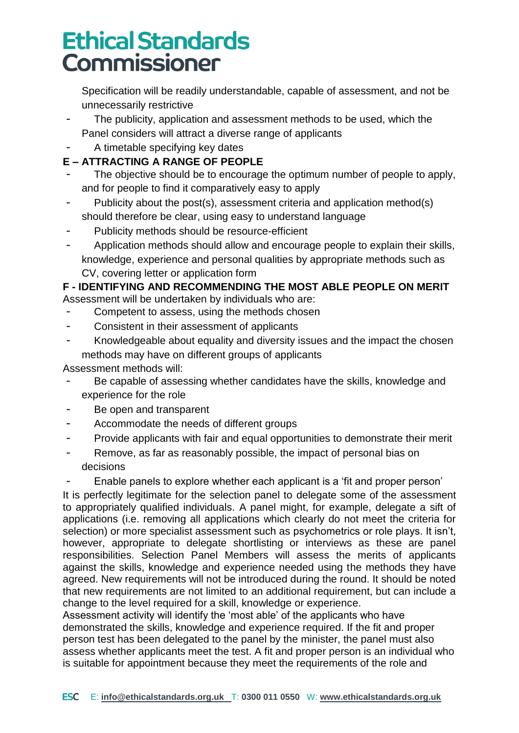Specification will be readily understandable, capable of assessment, and not be unnecessarily restrictive

- The publicity, application and assessment methods to be used, which the Panel considers will attract a diverse range of applicants
- A timetable specifying key dates

### **E – ATTRACTING A RANGE OF PEOPLE**

- The objective should be to encourage the optimum number of people to apply, and for people to find it comparatively easy to apply
- Publicity about the post(s), assessment criteria and application method(s) should therefore be clear, using easy to understand language
- Publicity methods should be resource-efficient
- Application methods should allow and encourage people to explain their skills, knowledge, experience and personal qualities by appropriate methods such as CV, covering letter or application form

#### **F - IDENTIFYING AND RECOMMENDING THE MOST ABLE PEOPLE ON MERIT** Assessment will be undertaken by individuals who are:

- Competent to assess, using the methods chosen
- Consistent in their assessment of applicants
- Knowledgeable about equality and diversity issues and the impact the chosen methods may have on different groups of applicants

Assessment methods will:

- Be capable of assessing whether candidates have the skills, knowledge and experience for the role
- Be open and transparent
- Accommodate the needs of different groups
- Provide applicants with fair and equal opportunities to demonstrate their merit
- Remove, as far as reasonably possible, the impact of personal bias on decisions

Enable panels to explore whether each applicant is a 'fit and proper person'

It is perfectly legitimate for the selection panel to delegate some of the assessment to appropriately qualified individuals. A panel might, for example, delegate a sift of applications (i.e. removing all applications which clearly do not meet the criteria for selection) or more specialist assessment such as psychometrics or role plays. It isn't, however, appropriate to delegate shortlisting or interviews as these are panel responsibilities. Selection Panel Members will assess the merits of applicants against the skills, knowledge and experience needed using the methods they have agreed. New requirements will not be introduced during the round. It should be noted that new requirements are not limited to an additional requirement, but can include a change to the level required for a skill, knowledge or experience.

Assessment activity will identify the 'most able' of the applicants who have demonstrated the skills, knowledge and experience required. If the fit and proper person test has been delegated to the panel by the minister, the panel must also assess whether applicants meet the test. A fit and proper person is an individual who is suitable for appointment because they meet the requirements of the role and